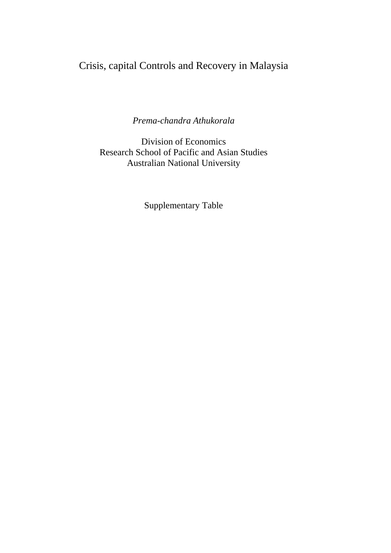## Crisis, capital Controls and Recovery in Malaysia

*Prema-chandra Athukorala* 

Division of Economics Research School of Pacific and Asian Studies Australian National University

Supplementary Table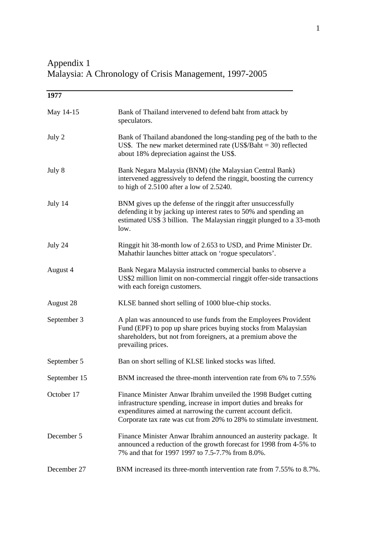Appendix 1 Malaysia: A Chronology of Crisis Management, 1997-2005

| 1977         |                                                                                                                                                                                                                                                                             |
|--------------|-----------------------------------------------------------------------------------------------------------------------------------------------------------------------------------------------------------------------------------------------------------------------------|
| May 14-15    | Bank of Thailand intervened to defend baht from attack by<br>speculators.                                                                                                                                                                                                   |
| July 2       | Bank of Thailand abandoned the long-standing peg of the bath to the<br>US\$. The new market determined rate (US\$/Baht $=$ 30) reflected<br>about 18% depreciation against the US\$.                                                                                        |
| July 8       | Bank Negara Malaysia (BNM) (the Malaysian Central Bank)<br>intervened aggressively to defend the ringgit, boosting the currency<br>to high of 2.5100 after a low of 2.5240.                                                                                                 |
| July 14      | BNM gives up the defense of the ringgit after unsuccessfully<br>defending it by jacking up interest rates to 50% and spending an<br>estimated US\$ 3 billion. The Malaysian ringgit plunged to a 33-moth<br>low.                                                            |
| July 24      | Ringgit hit 38-month low of 2.653 to USD, and Prime Minister Dr.<br>Mahathir launches bitter attack on 'rogue speculators'.                                                                                                                                                 |
| August 4     | Bank Negara Malaysia instructed commercial banks to observe a<br>US\$2 million limit on non-commercial ringgit offer-side transactions<br>with each foreign customers.                                                                                                      |
| August 28    | KLSE banned short selling of 1000 blue-chip stocks.                                                                                                                                                                                                                         |
| September 3  | A plan was announced to use funds from the Employees Provident<br>Fund (EPF) to pop up share prices buying stocks from Malaysian<br>shareholders, but not from foreigners, at a premium above the<br>prevailing prices.                                                     |
| September 5  | Ban on short selling of KLSE linked stocks was lifted.                                                                                                                                                                                                                      |
| September 15 | BNM increased the three-month intervention rate from 6% to 7.55%                                                                                                                                                                                                            |
| October 17   | Finance Minister Anwar Ibrahim unveiled the 1998 Budget cutting<br>infrastructure spending, increase in import duties and breaks for<br>expenditures aimed at narrowing the current account deficit.<br>Corporate tax rate was cut from 20% to 28% to stimulate investment. |
| December 5   | Finance Minister Anwar Ibrahim announced an austerity package. It<br>announced a reduction of the growth forecast for 1998 from 4-5% to<br>7% and that for 1997 1997 to 7.5-7.7% from 8.0%.                                                                                 |
| December 27  | BNM increased its three-month intervention rate from 7.55% to 8.7%.                                                                                                                                                                                                         |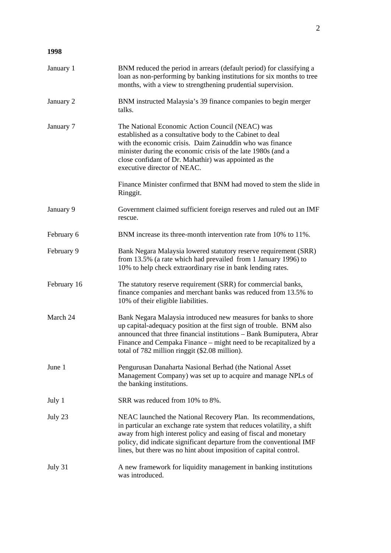## **1998**

| January 1   | BNM reduced the period in arrears (default period) for classifying a<br>loan as non-performing by banking institutions for six months to tree<br>months, with a view to strengthening prudential supervision.                                                                                                                                             |
|-------------|-----------------------------------------------------------------------------------------------------------------------------------------------------------------------------------------------------------------------------------------------------------------------------------------------------------------------------------------------------------|
| January 2   | BNM instructed Malaysia's 39 finance companies to begin merger<br>talks.                                                                                                                                                                                                                                                                                  |
| January 7   | The National Economic Action Council (NEAC) was<br>established as a consultative body to the Cabinet to deal<br>with the economic crisis. Daim Zainuddin who was finance<br>minister during the economic crisis of the late 1980s (and a<br>close confidant of Dr. Mahathir) was appointed as the<br>executive director of NEAC.                          |
|             | Finance Minister confirmed that BNM had moved to stem the slide in<br>Ringgit.                                                                                                                                                                                                                                                                            |
| January 9   | Government claimed sufficient foreign reserves and ruled out an IMF<br>rescue.                                                                                                                                                                                                                                                                            |
| February 6  | BNM increase its three-month intervention rate from 10% to 11%.                                                                                                                                                                                                                                                                                           |
| February 9  | Bank Negara Malaysia lowered statutory reserve requirement (SRR)<br>from 13.5% (a rate which had prevailed from 1 January 1996) to<br>10% to help check extraordinary rise in bank lending rates.                                                                                                                                                         |
| February 16 | The statutory reserve requirement (SRR) for commercial banks,<br>finance companies and merchant banks was reduced from 13.5% to<br>10% of their eligible liabilities.                                                                                                                                                                                     |
| March 24    | Bank Negara Malaysia introduced new measures for banks to shore<br>up capital-adequacy position at the first sign of trouble. BNM also<br>announced that three financial institutions - Bank Bumiputera, Abrar<br>Finance and Cempaka Finance – might need to be recapitalized by a<br>total of 782 million ringgit (\$2.08 million).                     |
| June 1      | Pengurusan Danaharta Nasional Berhad (the National Asset<br>Management Company) was set up to acquire and manage NPLs of<br>the banking institutions.                                                                                                                                                                                                     |
| July 1      | SRR was reduced from 10% to 8%.                                                                                                                                                                                                                                                                                                                           |
| July 23     | NEAC launched the National Recovery Plan. Its recommendations,<br>in particular an exchange rate system that reduces volatility, a shift<br>away from high interest policy and easing of fiscal and monetary<br>policy, did indicate significant departure from the conventional IMF<br>lines, but there was no hint about imposition of capital control. |
| July 31     | A new framework for liquidity management in banking institutions<br>was introduced.                                                                                                                                                                                                                                                                       |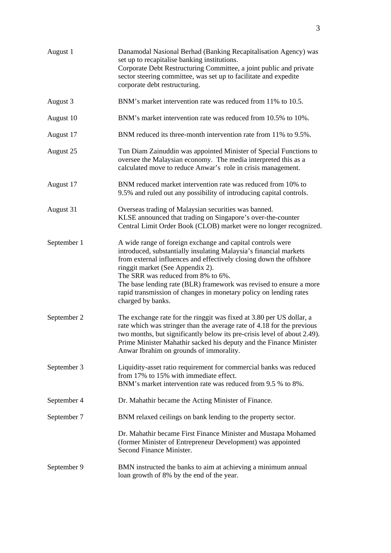| August 1    | Danamodal Nasional Berhad (Banking Recapitalisation Agency) was<br>set up to recapitalise banking institutions.<br>Corporate Debt Restructuring Committee, a joint public and private<br>sector steering committee, was set up to facilitate and expedite<br>corporate debt restructuring.                                                                                                                                                      |
|-------------|-------------------------------------------------------------------------------------------------------------------------------------------------------------------------------------------------------------------------------------------------------------------------------------------------------------------------------------------------------------------------------------------------------------------------------------------------|
| August 3    | BNM's market intervention rate was reduced from 11% to 10.5.                                                                                                                                                                                                                                                                                                                                                                                    |
| August 10   | BNM's market intervention rate was reduced from 10.5% to 10%.                                                                                                                                                                                                                                                                                                                                                                                   |
| August 17   | BNM reduced its three-month intervention rate from 11% to 9.5%.                                                                                                                                                                                                                                                                                                                                                                                 |
| August 25   | Tun Diam Zainuddin was appointed Minister of Special Functions to<br>oversee the Malaysian economy. The media interpreted this as a<br>calculated move to reduce Anwar's role in crisis management.                                                                                                                                                                                                                                             |
| August 17   | BNM reduced market intervention rate was reduced from 10% to<br>9.5% and ruled out any possibility of introducing capital controls.                                                                                                                                                                                                                                                                                                             |
| August 31   | Overseas trading of Malaysian securities was banned.<br>KLSE announced that trading on Singapore's over-the-counter<br>Central Limit Order Book (CLOB) market were no longer recognized.                                                                                                                                                                                                                                                        |
| September 1 | A wide range of foreign exchange and capital controls were<br>introduced, substantially insulating Malaysia's financial markets<br>from external influences and effectively closing down the offshore<br>ringgit market (See Appendix 2).<br>The SRR was reduced from 8% to 6%.<br>The base lending rate (BLR) framework was revised to ensure a more<br>rapid transmission of changes in monetary policy on lending rates<br>charged by banks. |
| September 2 | The exchange rate for the ringgit was fixed at 3.80 per US dollar, a<br>rate which was stringer than the average rate of 4.18 for the previous<br>two months, but significantly below its pre-crisis level of about 2.49).<br>Prime Minister Mahathir sacked his deputy and the Finance Minister<br>Anwar Ibrahim on grounds of immorality.                                                                                                     |
| September 3 | Liquidity-asset ratio requirement for commercial banks was reduced<br>from 17% to 15% with immediate effect.<br>BNM's market intervention rate was reduced from 9.5 % to 8%.                                                                                                                                                                                                                                                                    |
| September 4 | Dr. Mahathir became the Acting Minister of Finance.                                                                                                                                                                                                                                                                                                                                                                                             |
| September 7 | BNM relaxed ceilings on bank lending to the property sector.                                                                                                                                                                                                                                                                                                                                                                                    |
|             | Dr. Mahathir became First Finance Minister and Mustapa Mohamed<br>(former Minister of Entrepreneur Development) was appointed<br>Second Finance Minister.                                                                                                                                                                                                                                                                                       |
| September 9 | BMN instructed the banks to aim at achieving a minimum annual<br>loan growth of 8% by the end of the year.                                                                                                                                                                                                                                                                                                                                      |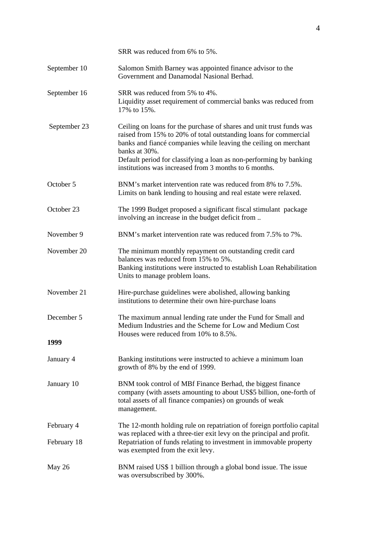|                    | SRR was reduced from 6% to 5%.                                                                                                                                                                                                                                                                                                                               |
|--------------------|--------------------------------------------------------------------------------------------------------------------------------------------------------------------------------------------------------------------------------------------------------------------------------------------------------------------------------------------------------------|
| September 10       | Salomon Smith Barney was appointed finance advisor to the<br>Government and Danamodal Nasional Berhad.                                                                                                                                                                                                                                                       |
| September 16       | SRR was reduced from 5% to 4%.<br>Liquidity asset requirement of commercial banks was reduced from<br>17% to 15%.                                                                                                                                                                                                                                            |
| September 23       | Ceiling on loans for the purchase of shares and unit trust funds was<br>raised from 15% to 20% of total outstanding loans for commercial<br>banks and fiancé companies while leaving the ceiling on merchant<br>banks at 30%.<br>Default period for classifying a loan as non-performing by banking<br>institutions was increased from 3 months to 6 months. |
| October 5          | BNM's market intervention rate was reduced from 8% to 7.5%.<br>Limits on bank lending to housing and real estate were relaxed.                                                                                                                                                                                                                               |
| October 23         | The 1999 Budget proposed a significant fiscal stimulant package<br>involving an increase in the budget deficit from                                                                                                                                                                                                                                          |
| November 9         | BNM's market intervention rate was reduced from 7.5% to 7%.                                                                                                                                                                                                                                                                                                  |
| November 20        | The minimum monthly repayment on outstanding credit card<br>balances was reduced from 15% to 5%.<br>Banking institutions were instructed to establish Loan Rehabilitation<br>Units to manage problem loans.                                                                                                                                                  |
| November 21        | Hire-purchase guidelines were abolished, allowing banking<br>institutions to determine their own hire-purchase loans                                                                                                                                                                                                                                         |
| December 5<br>1999 | The maximum annual lending rate under the Fund for Small and<br>Medium Industries and the Scheme for Low and Medium Cost<br>Houses were reduced from 10% to 8.5%.                                                                                                                                                                                            |
| January 4          | Banking institutions were instructed to achieve a minimum loan<br>growth of 8% by the end of 1999.                                                                                                                                                                                                                                                           |
| January 10         | BNM took control of MBf Finance Berhad, the biggest finance<br>company (with assets amounting to about US\$5 billion, one-forth of<br>total assets of all finance companies) on grounds of weak<br>management.                                                                                                                                               |
| February 4         | The 12-month holding rule on repatriation of foreign portfolio capital                                                                                                                                                                                                                                                                                       |
| February 18        | was replaced with a three-tier exit levy on the principal and profit.<br>Repatriation of funds relating to investment in immovable property<br>was exempted from the exit levy.                                                                                                                                                                              |
| May 26             | BNM raised US\$ 1 billion through a global bond issue. The issue<br>was oversubscribed by 300%.                                                                                                                                                                                                                                                              |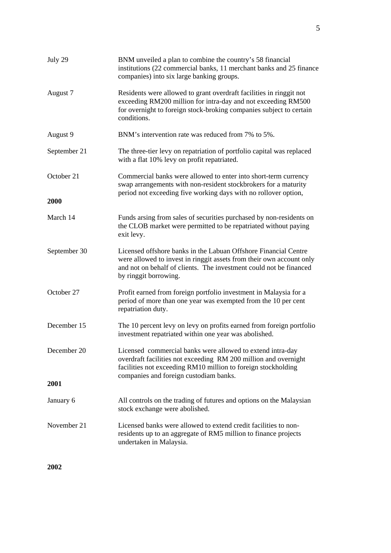| July 29      | BNM unveiled a plan to combine the country's 58 financial<br>institutions (22 commercial banks, 11 merchant banks and 25 finance<br>companies) into six large banking groups.                                                            |
|--------------|------------------------------------------------------------------------------------------------------------------------------------------------------------------------------------------------------------------------------------------|
| August 7     | Residents were allowed to grant overdraft facilities in ringgit not<br>exceeding RM200 million for intra-day and not exceeding RM500<br>for overnight to foreign stock-broking companies subject to certain<br>conditions.               |
| August 9     | BNM's intervention rate was reduced from 7% to 5%.                                                                                                                                                                                       |
| September 21 | The three-tier levy on repatriation of portfolio capital was replaced<br>with a flat 10% levy on profit repatriated.                                                                                                                     |
| October 21   | Commercial banks were allowed to enter into short-term currency<br>swap arrangements with non-resident stockbrokers for a maturity<br>period not exceeding five working days with no rollover option,                                    |
| 2000         |                                                                                                                                                                                                                                          |
| March 14     | Funds arsing from sales of securities purchased by non-residents on<br>the CLOB market were permitted to be repatriated without paying<br>exit levy.                                                                                     |
| September 30 | Licensed offshore banks in the Labuan Offshore Financial Centre<br>were allowed to invest in ringgit assets from their own account only<br>and not on behalf of clients. The investment could not be financed<br>by ringgit borrowing.   |
| October 27   | Profit earned from foreign portfolio investment in Malaysia for a<br>period of more than one year was exempted from the 10 per cent<br>repatriation duty.                                                                                |
| December 15  | The 10 percent levy on levy on profits earned from foreign portfolio<br>investment repatriated within one year was abolished.                                                                                                            |
| December 20  | Licensed commercial banks were allowed to extend intra-day<br>overdraft facilities not exceeding RM 200 million and overnight<br>facilities not exceeding RM10 million to foreign stockholding<br>companies and foreign custodiam banks. |
| 2001         |                                                                                                                                                                                                                                          |
| January 6    | All controls on the trading of futures and options on the Malaysian<br>stock exchange were abolished.                                                                                                                                    |
| November 21  | Licensed banks were allowed to extend credit facilities to non-<br>residents up to an aggregate of RM5 million to finance projects<br>undertaken in Malaysia.                                                                            |

**2002**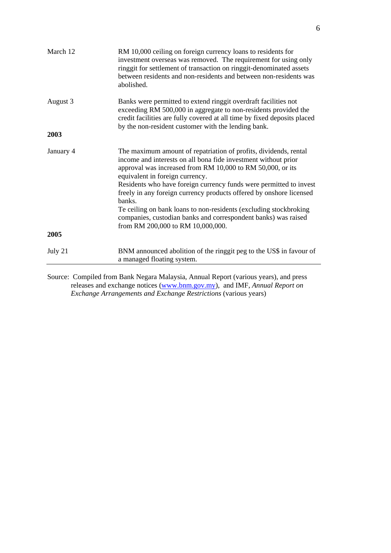| March 12  | RM 10,000 ceiling on foreign currency loans to residents for<br>investment overseas was removed. The requirement for using only<br>ringgit for settlement of transaction on ringgit-denominated assets<br>between residents and non-residents and between non-residents was<br>abolished.                                                                                                                                                                                                                                                                              |
|-----------|------------------------------------------------------------------------------------------------------------------------------------------------------------------------------------------------------------------------------------------------------------------------------------------------------------------------------------------------------------------------------------------------------------------------------------------------------------------------------------------------------------------------------------------------------------------------|
| August 3  | Banks were permitted to extend ringgit overdraft facilities not<br>exceeding RM 500,000 in aggregate to non-residents provided the<br>credit facilities are fully covered at all time by fixed deposits placed<br>by the non-resident customer with the lending bank.                                                                                                                                                                                                                                                                                                  |
| 2003      |                                                                                                                                                                                                                                                                                                                                                                                                                                                                                                                                                                        |
| January 4 | The maximum amount of repatriation of profits, dividends, rental<br>income and interests on all bona fide investment without prior<br>approval was increased from RM 10,000 to RM 50,000, or its<br>equivalent in foreign currency.<br>Residents who have foreign currency funds were permitted to invest<br>freely in any foreign currency products offered by onshore licensed<br>banks.<br>Te ceiling on bank loans to non-residents (excluding stockbroking<br>companies, custodian banks and correspondent banks) was raised<br>from RM 200,000 to RM 10,000,000. |
| 2005      |                                                                                                                                                                                                                                                                                                                                                                                                                                                                                                                                                                        |
| July 21   | BNM announced abolition of the ringgit peg to the US\$ in favour of<br>a managed floating system.                                                                                                                                                                                                                                                                                                                                                                                                                                                                      |

Source: Compiled from Bank Negara Malaysia, Annual Report (various years), and press releases and exchange notices (www.bnm.gov.my), and IMF, *Annual Report on Exchange Arrangements and Exchange Restrictions* (various years)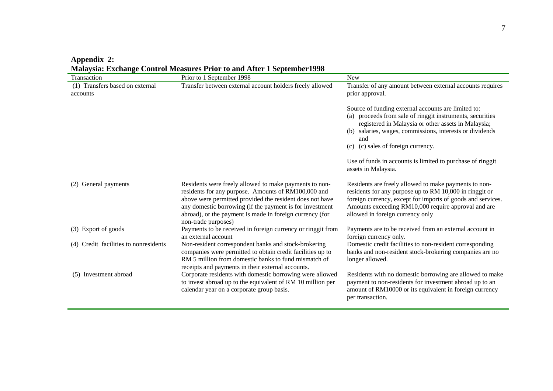**Appendix 2:** 

**Malaysia: Exchange Control Measures Prior to and After 1 September1998** 

| Transaction                                 | ivialaysia. Exchange Control ivicasules I flor to and After T beptember 1996<br>Prior to 1 September 1998                                                                                                                                                                                                                | New                                                                                                                                                                                                                                                                              |
|---------------------------------------------|--------------------------------------------------------------------------------------------------------------------------------------------------------------------------------------------------------------------------------------------------------------------------------------------------------------------------|----------------------------------------------------------------------------------------------------------------------------------------------------------------------------------------------------------------------------------------------------------------------------------|
| (1) Transfers based on external<br>accounts | Transfer between external account holders freely allowed                                                                                                                                                                                                                                                                 | Transfer of any amount between external accounts requires<br>prior approval.                                                                                                                                                                                                     |
|                                             |                                                                                                                                                                                                                                                                                                                          | Source of funding external accounts are limited to:<br>(a) proceeds from sale of ringgit instruments, securities<br>registered in Malaysia or other assets in Malaysia;<br>(b) salaries, wages, commissions, interests or dividends<br>and<br>(c) (c) sales of foreign currency. |
|                                             |                                                                                                                                                                                                                                                                                                                          | Use of funds in accounts is limited to purchase of ringgit<br>assets in Malaysia.                                                                                                                                                                                                |
| (2) General payments                        | Residents were freely allowed to make payments to non-<br>residents for any purpose. Amounts of RM100,000 and<br>above were permitted provided the resident does not have<br>any domestic borrowing (if the payment is for investment<br>abroad), or the payment is made in foreign currency (for<br>non-trade purposes) | Residents are freely allowed to make payments to non-<br>residents for any purpose up to RM 10,000 in ringgit or<br>foreign currency, except for imports of goods and services.<br>Amounts exceeding RM10,000 require approval and are<br>allowed in foreign currency only       |
| (3) Export of goods                         | Payments to be received in foreign currency or ringgit from<br>an external account                                                                                                                                                                                                                                       | Payments are to be received from an external account in<br>foreign currency only.                                                                                                                                                                                                |
| Credit facilities to nonresidents<br>(4)    | Non-resident correspondent banks and stock-brokering<br>companies were permitted to obtain credit facilities up to<br>RM 5 million from domestic banks to fund mismatch of<br>receipts and payments in their external accounts.                                                                                          | Domestic credit facilities to non-resident corresponding<br>banks and non-resident stock-brokering companies are no<br>longer allowed.                                                                                                                                           |
| (5) Investment abroad                       | Corporate residents with domestic borrowing were allowed<br>to invest abroad up to the equivalent of RM 10 million per<br>calendar year on a corporate group basis.                                                                                                                                                      | Residents with no domestic borrowing are allowed to make<br>payment to non-residents for investment abroad up to an<br>amount of RM10000 or its equivalent in foreign currency<br>per transaction.                                                                               |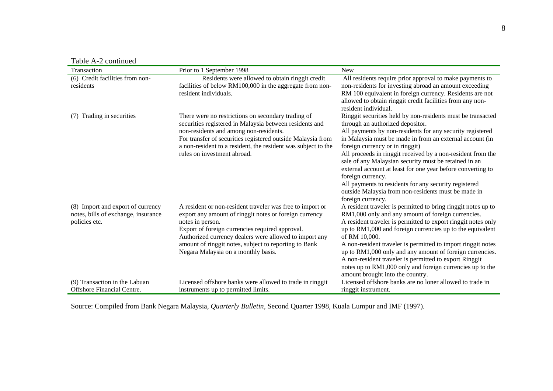| Table A-2 continued |
|---------------------|
|---------------------|

| <b>LAVIC A-2 CONTINUED</b>          |                                                                                                                              |                                                                                             |
|-------------------------------------|------------------------------------------------------------------------------------------------------------------------------|---------------------------------------------------------------------------------------------|
| Transaction                         | Prior to 1 September 1998                                                                                                    | <b>New</b>                                                                                  |
| (6) Credit facilities from non-     | Residents were allowed to obtain ringgit credit                                                                              | All residents require prior approval to make payments to                                    |
| residents                           | facilities of below RM100,000 in the aggregate from non-                                                                     | non-residents for investing abroad an amount exceeding                                      |
|                                     | resident individuals.                                                                                                        | RM 100 equivalent in foreign currency. Residents are not                                    |
|                                     |                                                                                                                              | allowed to obtain ringgit credit facilities from any non-<br>resident individual.           |
| Trading in securities<br>(7)        | There were no restrictions on secondary trading of                                                                           | Ringgit securities held by non-residents must be transacted                                 |
|                                     | securities registered in Malaysia between residents and                                                                      | through an authorized depositor.                                                            |
|                                     | non-residents and among non-residents.                                                                                       | All payments by non-residents for any security registered                                   |
|                                     | For transfer of securities registered outside Malaysia from<br>a non-resident to a resident, the resident was subject to the | in Malaysia must be made in from an external account (in<br>foreign currency or in ringgit) |
|                                     | rules on investment abroad.                                                                                                  | All proceeds in ringgit received by a non-resident from the                                 |
|                                     |                                                                                                                              | sale of any Malaysian security must be retained in an                                       |
|                                     |                                                                                                                              | external account at least for one year before converting to                                 |
|                                     |                                                                                                                              | foreign currency.                                                                           |
|                                     |                                                                                                                              | All payments to residents for any security registered                                       |
|                                     |                                                                                                                              | outside Malaysia from non-residents must be made in                                         |
|                                     |                                                                                                                              | foreign currency.                                                                           |
| (8) Import and export of currency   | A resident or non-resident traveler was free to import or                                                                    | A resident traveler is permitted to bring ringgit notes up to                               |
| notes, bills of exchange, insurance | export any amount of ringgit notes or foreign currency                                                                       | RM1,000 only and any amount of foreign currencies.                                          |
| policies etc.                       | notes in person.                                                                                                             | A resident traveler is permitted to export ringgit notes only                               |
|                                     | Export of foreign currencies required approval.                                                                              | up to RM1,000 and foreign currencies up to the equivalent                                   |
|                                     | Authorized currency dealers were allowed to import any                                                                       | of RM 10,000.                                                                               |
|                                     | amount of ringgit notes, subject to reporting to Bank                                                                        | A non-resident traveler is permitted to import ringgit notes                                |
|                                     | Negara Malaysia on a monthly basis.                                                                                          | up to RM1,000 only and any amount of foreign currencies.                                    |
|                                     |                                                                                                                              | A non-resident traveler is permitted to export Ringgit                                      |
|                                     |                                                                                                                              | notes up to RM1,000 only and foreign currencies up to the                                   |
|                                     |                                                                                                                              | amount brought into the country.                                                            |
| (9) Transaction in the Labuan       | Licensed offshore banks were allowed to trade in ringgit                                                                     | Licensed offshore banks are no loner allowed to trade in                                    |
| <b>Offshore Financial Centre.</b>   | instruments up to permitted limits.                                                                                          | ringgit instrument.                                                                         |

Source: Compiled from Bank Negara Malaysia, *Quarterly Bulletin*, Second Quarter 1998, Kuala Lumpur and IMF (1997).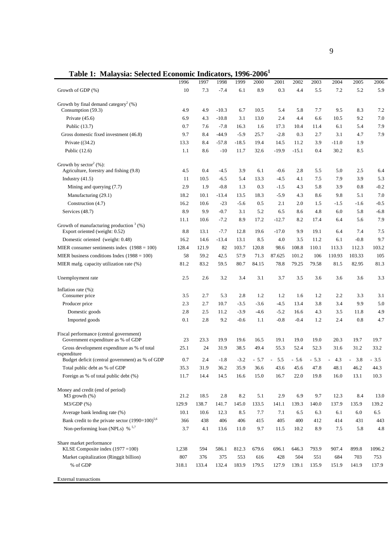**Table 1: Malaysia: Selected Economic Indicators, 1996-2006<sup>1</sup>**

|                                                                               | 1996         | 1997         | 1998         | 1999         | 2000         | 2001         | 2002         | 2003         | 2004         | 2005         | 2006         |
|-------------------------------------------------------------------------------|--------------|--------------|--------------|--------------|--------------|--------------|--------------|--------------|--------------|--------------|--------------|
| Growth of GDP (%)                                                             | 10           | 7.3          | $-7.4$       | 6.1          | 8.9          | 0.3          | 4.4          | 5.5          | 7.2          | 5.2          | 5.9          |
| Growth by final demand category <sup>2</sup> $(\%)$<br>Consumption (59.3)     | 4.9          | 4.9          | $-10.3$      | 6.7          | 10.5         | 5.4          | 5.8          | 7.7          | 9.5          | 8.3          | 7.2          |
| Private $(45.6)$                                                              | 6.9          | 4.3          | $-10.8$      | 3.1          | 13.0         | 2.4          | 4.4          | 6.6          | 10.5         | 9.2          | 7.0          |
| Public (13.7)                                                                 | 0.7          | 7.6          | $-7.8$       | 16.3         | 1.6          | 17.3         | 10.4         | 11.4         | 6.1          | 5.4          | 7.9          |
| Gross domestic fixed investment (46.8)                                        | 9.7          | 8.4          | $-44.9$      | $-5.9$       | 25.7         | $-2.8$       | 0.3          | 2.7          | 3.1          | 4.7          | 7.9          |
| Private $((34.2)$                                                             | 13.3         | 8.4          | $-57.8$      | $-18.5$      | 19.4         | 14.5         | 11.2         | 3.9          | $-11.0$      | 1.9          |              |
| Public (12.6)                                                                 | 1.1          | 8.6          | $-10$        | 11.7         | 32.6         | $-19.9$      | $-15.1$      | 0.4          | 30.2         | 8.5          |              |
| Growth by sector <sup>2</sup> $(\% )$ :                                       |              |              |              |              |              |              |              |              |              |              |              |
| Agriculture, forestry and fishing (9.8)                                       | 4.5          | 0.4          | $-4.5$       | 3.9          | 6.1          | $-0.6$       | 2.8          | 5.5          | 5.0          | 2.5          | 6.4          |
| Industry $(41.5)$                                                             | 11           | 10.5         | $-6.5$       | 5.4          | 13.3         | $-4.5$       | 4.1          | 7.5          | 7.9          | 3.9          | 5.3          |
| Mining and querying (7.7)                                                     | 2.9          | 1.9          | $-0.8$       | 1.3          | 0.3          | $-1.5$       | 4.3          | 5.8          | 3.9          | 0.8          | $-0.2$       |
| Manufacturing (29.1)                                                          | 18.2         | 10.1         | $-13.4$      | 13.5         | 18.3         | $-5.9$       | 4.3          | 8.6          | 9.8          | 5.1          | 7.0          |
| Construction (4.7)                                                            | 16.2         | 10.6         | $-23$        | $-5.6$       | 0.5          | 2.1          | 2.0          | 1.5          | $-1.5$       | $-1.6$       | $-0.5$       |
| Services (48.7)                                                               | 8.9          | 9.9          | $-0.7$       | 3.1          | 5.2          | 6.5          | 8.6          | 4.8          | 6.0          | 5.8          | $-6.8$       |
|                                                                               | 11.1         | 10.6         | $-7.2$       | 8.9          | 17.2         | $-12.7$      | 8.2          | 17.4         | 6.4          | 5.6          | 7.9          |
| Growth of manufacturing production $3$ (%)<br>Export oriented (weight: 0.52)  | 8.8          | 13.1         | $-7.7$       | 12.8         | 19.6         | $-17.0$      | 9.9          | 19.1         | 6.4          | 7.4          | 7.5          |
| Domestic oriented (weight: 0.48)                                              | 16.2         | 14.6         | $-13.4$      | 13.1         | 8.5          | 4.0          | 3.5          | 11.2         | 6.1          | $-0.8$       | 9.7          |
| MIER consumer sentiments index $(1988 = 100)$                                 | 128.4        | 121.9        | 82           | 103.7        | 120.8        | 98.6         | 108.8        | 110.1        | 113.3        | 112.3        | 103.2        |
| MIER business conditions Index $(1988 = 100)$                                 | 58           | 59.2         | 42.5         | 57.9         | 71.3         | 87.625       | 101.2        | 106          | 110.93       | 103.33       | 105          |
| MIER mafg. capacity utilization rate (%)                                      | 81.2         | 83.2         | 59.5         | 80.7         | 84.15        | 78.8         | 79.25        | 79.58        | 81.5         | 82.95        | 81.3         |
| Unemployment rate                                                             | 2.5          | 2.6          | 3.2          | 3.4          | 3.1          | 3.7          | 3.5          | 3.6          | 3.6          | 3.6          | 3.3          |
| Inflation rate $(\% )$ :                                                      |              |              |              |              |              |              |              |              |              |              |              |
| Consumer price                                                                | 3.5          | 2.7          | 5.3          | 2.8          | 1.2          | 1.2          | 1.6          | 1.2          | 2.2          | 3.3          | 3.1          |
| Producer price                                                                | 2.3          | 2.7          | 10.7         | $-3.5$       | $-3.6$       | $-4.5$       | 13.4         | 3.8          | 3.4          | 9.9          | 5.0          |
| Domestic goods                                                                | 2.8          | 2.5          | 11.2         | $-3.9$       | $-4.6$       | $-5.2$       | 16.6         | 4.3          | 3.5          | 11.8         | 4.9          |
| Imported goods                                                                | 0.1          | 2.8          | 9.2          | $-0.6$       | 1.1          | $-0.8$       | $-0.4$       | 1.2          | 2.4          | 0.8          | 4.7          |
| Fiscal performance (central government)<br>Government expenditure as % of GDP | 23           | 23.3         | 19.9         | 19.6         | 16.5         | 19.1         | 19.0         | 19.0         | 20.3         | 19.7         | 19.7         |
| Gross development expenditure as % of total                                   | 25.1         | 24           | 31.9         | 38.5         | 49.4         | 55.3         | 52.4         | 52.3         | 31.6         | 31.2         | 33.2         |
| expenditure                                                                   |              |              |              |              |              |              |              |              |              |              |              |
| Budget deficit (central government) as % of GDP                               | 0.7          | 2.4          | $-1.8$       | $-3.2$       | $-5.7$       | 5.5          | $-5.6$       | $-5.3$       | 4.3          | 3.8          | - 3.5        |
| Total public debt as % of GDP                                                 | 35.3         | 31.9         | 36.2         | 35.9         | 36.6         | 43.6         | 45.6         | 47.8         | 48.1         | 46.2         | 44.3         |
| Foreign as % of total public debt (%)                                         | 11.7         | 14.4         | 14.5         | 16.6         | 15.0         | 16.7         | 22.0         | 19.8         | 16.0         | 13.1         | 10.3         |
| Money and credit (end of period)<br>$M3$ growth $(\%)$                        | 21.2         | 18.5         | 2.8          | 8.2          | 5.1          | 2.9          | 6.9          | 9.7          | 12.3         | 8.4          | 13.0         |
| $M3/GDP$ (%)                                                                  | 129.9        | 138.7        | 141.7        | 145.0        | 133.5        | 141.1        | 139.3        | 140.0        | 137.9        | 135.9        | 139.2        |
| Average bank lending rate (%)                                                 | 10.1         | 10.6         | 12.3         | 8.5          | 7.7          | 7.1          | 6.5          | 6.3          | 6.1          | 6.0          | 6.5          |
| Bank credit to the private sector $(1990=100)^{5,6}$                          | 366          | 438          | 406          | 406          | 415          | 405          | 400          | 412          | 414          | 431          | 443          |
| Non-performing loan (NPLs) % $5.7$                                            | 3.7          | 4.1          | 13.6         | 11.0         | 9.7          | 11.5         | 10.2         | 8.9          | 7.5          | 5.8          | $4.8\,$      |
| Share market performance                                                      |              |              |              |              |              |              |              |              |              |              |              |
| KLSE Composite index $(1977 = 100)$                                           | 1,238        | 594          | 586.1        | 812.3        | 679.6        | 696.1        | 646.3        | 793.9        | 907.4        | 899.8        | 1096.2       |
| Market capitalization (Ringgit billion)<br>% of GDP                           | 807<br>318.1 | 376<br>133.4 | 375<br>132.4 | 553<br>183.9 | 616<br>179.5 | 428<br>127.9 | 504<br>139.1 | 551<br>135.9 | 684<br>151.9 | 703<br>141.9 | 753<br>137.9 |
| <b>External transactions</b>                                                  |              |              |              |              |              |              |              |              |              |              |              |